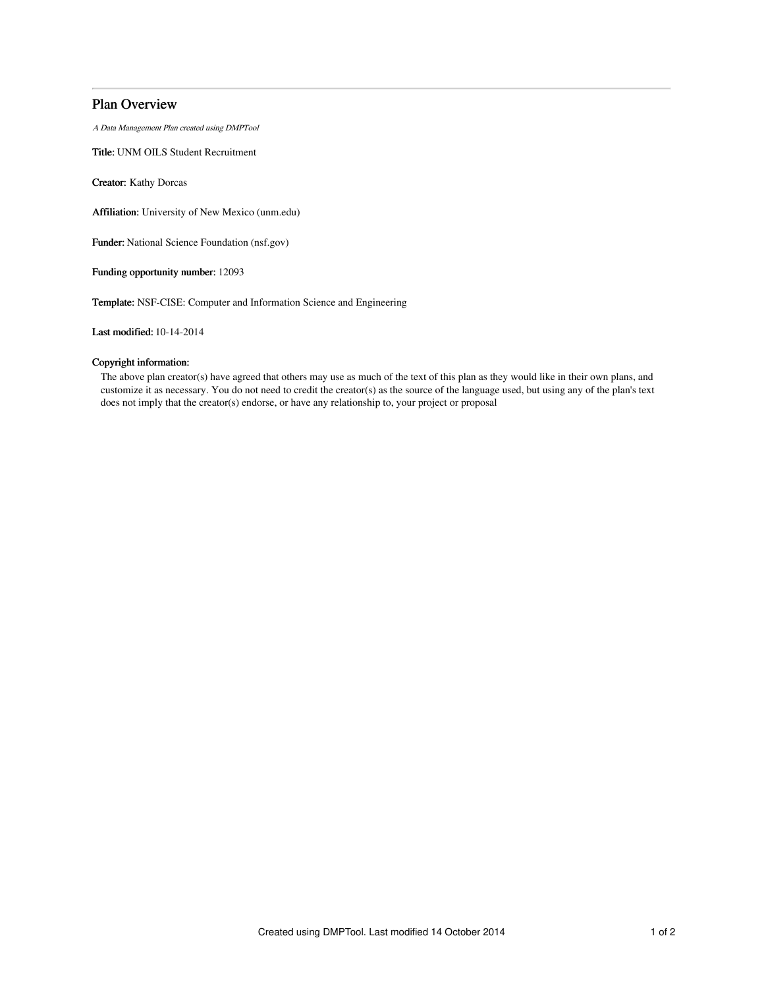# Plan Overview

A Data Management Plan created using DMPTool

Title: UNM OILS Student Recruitment

Creator: Kathy Dorcas

Affiliation: University of New Mexico (unm.edu)

Funder: National Science Foundation (nsf.gov)

Funding opportunity number: 12093

Template: NSF-CISE: Computer and Information Science and Engineering

Last modified: 10-14-2014

# Copyright information:

The above plan creator(s) have agreed that others may use as much of the text of this plan as they would like in their own plans, and customize it as necessary. You do not need to credit the creator(s) as the source of the language used, but using any of the plan's text does not imply that the creator(s) endorse, or have any relationship to, your project or proposal